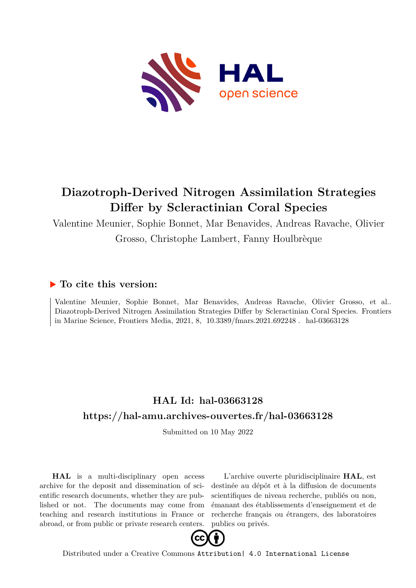

# **Diazotroph-Derived Nitrogen Assimilation Strategies Differ by Scleractinian Coral Species**

Valentine Meunier, Sophie Bonnet, Mar Benavides, Andreas Ravache, Olivier Grosso, Christophe Lambert, Fanny Houlbrèque

## **To cite this version:**

Valentine Meunier, Sophie Bonnet, Mar Benavides, Andreas Ravache, Olivier Grosso, et al.. Diazotroph-Derived Nitrogen Assimilation Strategies Differ by Scleractinian Coral Species. Frontiers in Marine Science, Frontiers Media, 2021, 8,  $10.3389/f \text{mars}.2021.692248$ . hal-03663128

## **HAL Id: hal-03663128 <https://hal-amu.archives-ouvertes.fr/hal-03663128>**

Submitted on 10 May 2022

**HAL** is a multi-disciplinary open access archive for the deposit and dissemination of scientific research documents, whether they are published or not. The documents may come from teaching and research institutions in France or abroad, or from public or private research centers.

L'archive ouverte pluridisciplinaire **HAL**, est destinée au dépôt et à la diffusion de documents scientifiques de niveau recherche, publiés ou non, émanant des établissements d'enseignement et de recherche français ou étrangers, des laboratoires publics ou privés.



Distributed under a Creative Commons [Attribution| 4.0 International License](http://creativecommons.org/licenses/by/4.0/)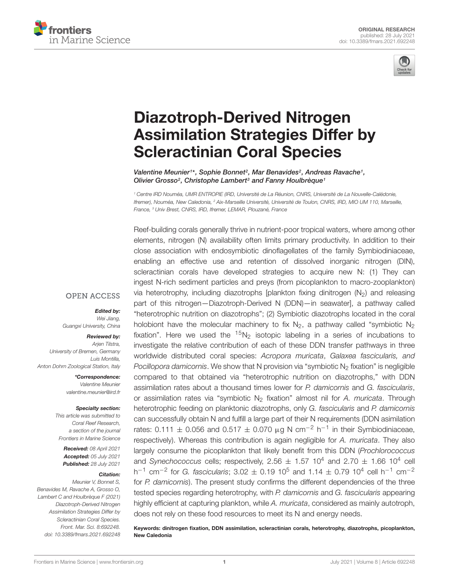



# Diazotroph-Derived Nitrogen [Assimilation Strategies Differ by](https://www.frontiersin.org/articles/10.3389/fmars.2021.692248/full) Scleractinian Coral Species

Valentine Meunier<sup>1\*</sup>, Sophie Bonnet<sup>2</sup>, Mar Benavides<sup>2</sup>, Andreas Ravache<sup>1</sup>, Olivier Grosso<sup>2</sup>, Christophe Lambert<sup>3</sup> and Fanny Houlbrèque<sup>1</sup>

<sup>1</sup> Centre IRD Nouméa, UMR ENTROPIE (IRD, Université de La Réunion, CNRS, Université de La Nouvelle-Calédonie, Ifremer), Nouméa, New Caledonia, <sup>2</sup> Aix-Marseille Université, Université de Toulon, CNRS, IRD, MIO UM 110, Marseille, France, <sup>3</sup> Univ Brest, CNRS, IRD, Ifremer, LEMAR, Plouzané, France

Reef-building corals generally thrive in nutrient-poor tropical waters, where among other elements, nitrogen (N) availability often limits primary productivity. In addition to their close association with endosymbiotic dinoflagellates of the family Symbiodiniaceae, enabling an effective use and retention of dissolved inorganic nitrogen (DIN), scleractinian corals have developed strategies to acquire new N: (1) They can ingest N-rich sediment particles and preys (from picoplankton to macro-zooplankton) via heterotrophy, including diazotrophs [plankton fixing dinitrogen  $(N<sub>2</sub>)$  and releasing part of this nitrogen—Diazotroph-Derived N (DDN)—in seawater], a pathway called "heterotrophic nutrition on diazotrophs"; (2) Symbiotic diazotrophs located in the coral holobiont have the molecular machinery to fix  $N_2$ , a pathway called "symbiotic  $N_2$ fixation". Here we used the  ${}^{15}N_2$  isotopic labeling in a series of incubations to investigate the relative contribution of each of these DDN transfer pathways in three worldwide distributed coral species: Acropora muricata, Galaxea fascicularis, and Pocillopora damicornis. We show that N provision via "symbiotic  $N_2$  fixation" is negligible compared to that obtained via "heterotrophic nutrition on diazotrophs," with DDN assimilation rates about a thousand times lower for P. damicornis and G. fascicularis, or assimilation rates via "symbiotic  $N_2$  fixation" almost nil for A. muricata. Through heterotrophic feeding on planktonic diazotrophs, only G. fascicularis and P. damicornis can successfully obtain N and fulfill a large part of their N requirements (DDN asimilation rates: 0.111  $\pm$  0.056 and 0.517  $\pm$  0.070 µg N cm<sup>-2</sup> h<sup>-1</sup> in their Symbiodiniaceae, respectively). Whereas this contribution is again negligible for A. muricata. They also largely consume the picoplankton that likely benefit from this DDN (Prochlorococcus and Synechococcus cells; respectively, 2.56  $\pm$  1.57 10<sup>4</sup> and 2.70  $\pm$  1.66 10<sup>4</sup> cell h<sup>-1</sup> cm<sup>-2</sup> for *G. fascicularis*; 3.02  $\pm$  0.19 10<sup>5</sup> and 1.14  $\pm$  0.79 10<sup>4</sup> cell h<sup>-1</sup> cm<sup>-2</sup> for P. damicornis). The present study confirms the different dependencies of the three tested species regarding heterotrophy, with P. damicornis and G. fascicularis appearing highly efficient at capturing plankton, while A. muricata, considered as mainly autotroph, does not rely on these food resources to meet its N and energy needs.

Keywords: dinitrogen fixation, DDN assimilation, scleractinian corals, heterotrophy, diazotrophs, picoplankton, New Caledonia

#### **OPEN ACCESS**

Edited by:

Wei Jiang, Guangxi University, China

#### Reviewed by:

Arjen Tilstra, University of Bremen, Germany Luis Montilla, Anton Dohrn Zoological Station, Italy

> \*Correspondence: Valentine Meunier valentine.meunier@ird.fr

#### Specialty section:

This article was submitted to Coral Reef Research, a section of the journal Frontiers in Marine Science

Received: 08 April 2021 Accepted: 05 July 2021 Published: 28 July 2021

#### Citation:

Meunier V, Bonnet S, Benavides M, Ravache A, Grosso O, Lambert C and Houlbrèque F (2021) Diazotroph-Derived Nitrogen Assimilation Strategies Differ by Scleractinian Coral Species. Front. Mar. Sci. 8:692248. doi: [10.3389/fmars.2021.692248](https://doi.org/10.3389/fmars.2021.692248)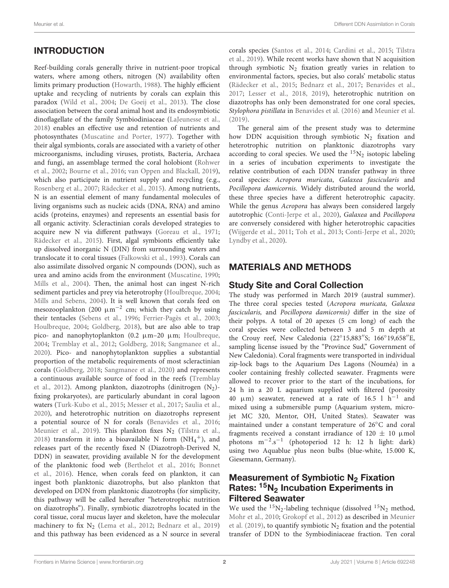#### INTRODUCTION

Reef-building corals generally thrive in nutrient-poor tropical waters, where among others, nitrogen (N) availability often limits primary production (Howarth, 1988). The highly efficient uptake and recycling of nutrients by corals can explain this paradox (Wild et al., 2004; De Goeij et al., 2013). The close association between the coral animal host and its endosymbiotic dinoflagellate of the family Symbiodiniaceae (LaJeunesse et al., 2018) enables an effective use and retention of nutrients and photosynthates (Muscatine and Porter, 1977). Together with their algal symbionts, corals are associated with a variety of other microorganisms, including viruses, protists, Bacteria, Archaea and fungi, an assemblage termed the coral holobiont (Rohwer et al., 2002; Bourne et al., 2016; van Oppen and Blackall, 2019), which also participate in nutrient supply and recycling (e.g., Rosenberg et al., 2007; Rädecker et al., 2015). Among nutrients, N is an essential element of many fundamental molecules of living organisms such as nucleic acids (DNA, RNA) and amino acids (proteins, enzymes) and represents an essential basis for all organic activity. Scleractinian corals developed strategies to acquire new N via different pathways (Goreau et al., 1971; Rädecker et al., 2015). First, algal symbionts efficiently take up dissolved inorganic N (DIN) from surrounding waters and translocate it to coral tissues (Falkowski et al., 1993). Corals can also assimilate dissolved organic N compounds (DON), such as urea and amino acids from the environment (Muscatine, 1990; Mills et al., 2004). Then, the animal host can ingest N-rich sediment particles and prey via heterotrophy (Houlbreque, 2004; Mills and Sebens, 2004). It is well known that corals feed on mesozooplankton (200  $\mu$ m<sup>-2</sup> cm; which they catch by using their tentacles (Sebens et al., 1996; Ferrier-Pagès et al., 2003; Houlbreque, 2004; Goldberg, 2018), but are also able to trap pico- and nanophytoplankton (0.2  $\mu$ m–20  $\mu$ m; Houlbreque, 2004; Tremblay et al., 2012; Goldberg, 2018; Sangmanee et al., 2020). Pico- and nanophytoplankton supplies a substantial proportion of the metabolic requirements of most scleractinian corals (Goldberg, 2018; Sangmanee et al., 2020) and represents a continuous available source of food in the reefs (Tremblay et al., 2012). Among plankton, diazotrophs (dinitrogen (N2) fixing prokaryotes), are particularly abundant in coral lagoon waters (Turk-Kubo et al., 2015; Messer et al., 2017; Saulia et al., 2020), and heterotrophic nutrition on diazotrophs represent a potential source of N for corals (Benavides et al., 2016; Meunier et al., 2019). This plankton fixes  $N_2$  (Tilstra et al., 2018) transform it into a bioavailable N form  $(NH_4^+)$ , and releases part of the recently fixed N (Diazotroph-Derived N, DDN) in seawater, providing available N for the development of the planktonic food web (Berthelot et al., 2016; Bonnet et al., 2016). Hence, when corals feed on plankton, it can ingest both planktonic diazotrophs, but also plankton that developed on DDN from planktonic diazotrophs (for simplicity, this pathway will be called hereafter "heterotrophic nutrition on diazotrophs"). Finally, symbiotic diazotrophs located in the coral tissue, coral mucus layer and skeleton, have the molecular machinery to fix  $N_2$  (Lema et al., 2012; Bednarz et al., 2019) and this pathway has been evidenced as a N source in several

corals species (Santos et al., 2014; Cardini et al., 2015; Tilstra et al., 2019). While recent works have shown that N acquisition through symbiotic  $N_2$  fixation greatly varies in relation to environmental factors, species, but also corals' metabolic status (Rädecker et al., 2015; Bednarz et al., 2017; Benavides et al., 2017; Lesser et al., 2018, 2019), heterotrophic nutrition on diazotrophs has only been demonstrated for one coral species, Stylophora pistillata in Benavides et al. (2016) and Meunier et al.  $(2019)$ .

The general aim of the present study was to determine how DDN acquisition through symbiotic  $N_2$  fixation and heterotrophic nutrition on planktonic diazotrophs vary according to coral species. We used the  ${}^{15}N_2$  isotopic labeling in a series of incubation experiments to investigate the relative contribution of each DDN transfer pathway in three coral species: Acropora muricata, Galaxea fascicularis and Pocillopora damicornis. Widely distributed around the world, these three species have a different heterotrophic capacity. While the genus Acropora has always been considered largely autotrophic (Conti-Jerpe et al., 2020), Galaxea and Pocillopora are conversely considered with higher heterotrophic capacities (Wijgerde et al., 2011; Toh et al., 2013; Conti-Jerpe et al., 2020; Lyndby et al., 2020).

#### MATERIALS AND METHODS

#### Study Site and Coral Collection

The study was performed in March 2019 (austral summer). The three coral species tested (Acropora muricata, Galaxea fascicularis, and Pocillopora damicornis) differ in the size of their polyps. A total of 20 apexes (5 cm long) of each the coral species were collected between 3 and 5 m depth at the Crouy reef, New Caledonia (22°15,883"S; 166°19,658"E, sampling license issued by the "Province Sud," Government of New Caledonia). Coral fragments were transported in individual zip-lock bags to the Aquarium Des Lagons (Nouméa) in a cooler containing freshly collected seawater. Fragments were allowed to recover prior to the start of the incubations, for 24 h in a 20 L aquarium supplied with filtered (porosity 40 μm) seawater, renewed at a rate of 16.5 l  $h^{-1}$  and mixed using a submersible pump (Aquarium system, microjet MC 320, Mentor, OH, United States). Seawater was maintained under a constant temperature of 26◦C and coral fragments received a constant irradiance of  $120 \pm 10$  µmol photons m−<sup>2</sup> .s−<sup>1</sup> (photoperiod 12 h: 12 h light: dark) using two Aquablue plus neon bulbs (blue-white, 15.000 K, Giesemann, Germany).

#### Measurement of Symbiotic  $N_2$  Fixation Rates: <sup>15</sup>N<sub>2</sub> Incubation Experiments in Filtered Seawater

We used the  ${}^{15}N_2$ -labeling technique (dissolved  ${}^{15}N_2$  method, Mohr et al., 2010; Grokopf et al., 2012) as described in Meunier et al. (2019), to quantify symbiotic  $N_2$  fixation and the potential transfer of DDN to the Symbiodiniaceae fraction. Ten coral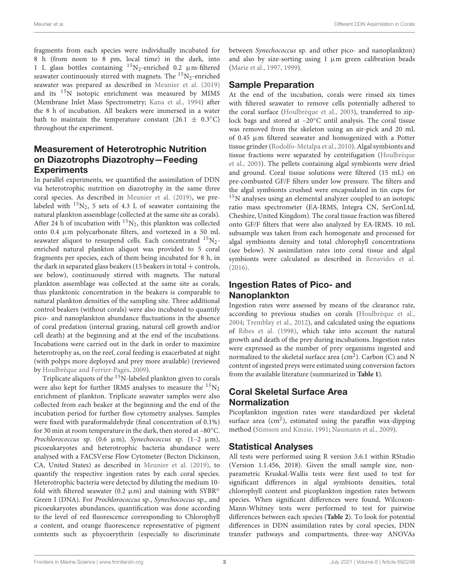fragments from each species were individually incubated for 8 h (from noon to 8 pm, local time) in the dark, into 1 L glass bottles containing  $15N_2$ -enriched 0.2  $\mu$ m-filtered seawater continuously stirred with magnets. The  ${}^{15}N_2$ -enriched seawater was prepared as described in Meunier et al. (2019) and its <sup>15</sup>N isotopic enrichment was measured by MIMS (Membrane Inlet Mass Spectrometry; Kana et al., 1994) after the 8 h of incubation. All beakers were immersed in a water bath to maintain the temperature constant (26.1  $\pm$  0.3<sup>°</sup>C) throughout the experiment.

#### Measurement of Heterotrophic Nutrition on Diazotrophs Diazotrophy—Feeding **Experiments**

In parallel experiments, we quantified the assimilation of DDN via heterotrophic nutrition on diazotrophy in the same three coral species. As described in Meunier et al. (2019), we prelabeled with  $15N_2$ , 5 sets of 4.3 L of seawater containing the natural plankton assemblage (collected at the same site as corals). After 24 h of incubation with  $15N_2$ , this plankton was collected onto 0.4 µm polycarbonate filters, and vortexed in a 50 mL seawater aliquot to resuspend cells. Each concentrated  $^{15}N_2$ enriched natural plankton aliquot was provided to 5 coral fragments per species, each of them being incubated for 8 h, in the dark in separated glass beakers (15 beakers in total  $+$  controls, see below), continuously stirred with magnets. The natural plankton assemblage was collected at the same site as corals, thus planktonic concentration in the beakers is comparable to natural plankton densities of the sampling site. Three additional control beakers (without corals) were also incubated to quantify pico- and nanoplankton abundance fluctuations in the absence of coral predation (internal grazing, natural cell growth and/or cell death) at the beginning and at the end of the incubations. Incubations were carried out in the dark in order to maximize heterotrophy as, on the reef, coral feeding is exacerbated at night (with polyps more deployed and prey more available) (reviewed by Houlbrèque and Ferrier-Pagès, 2009).

Triplicate aliquots of the  $15N$ -labeled plankton given to corals were also kept for further IRMS analyses to measure the  $^{15}N_2$ enrichment of plankton. Triplicate seawater samples were also collected from each beaker at the beginning and the end of the incubation period for further flow cytometry analyses. Samples were fixed with paraformaldehyde (final concentration of 0.1%) for 30 min at room temperature in the dark, then stored at –80◦C. Prochlorococcus sp.  $(0.6 \mu m)$ , Synechococcus sp.  $(1-2 \mu m)$ , picoeukaryotes and heterotrophic bacteria abundance were analysed with a FACSVerse Flow Cytometer (Becton Dickinson, CA, United States) as described in Meunier et al. (2019), to quantify the respective ingestion rates by each coral species. Heterotrophic bacteria were detected by diluting the medium 10 fold with filtered seawater (0.2  $\mu$ m) and staining with SYBR® Green I (DNA). For Prochlorococcus sp., Synechococcus sp., and picoeukaryotes abundances, quantification was done according to the level of red fluorescence corresponding to Chlorophyll a content, and orange fluorescence representative of pigment contents such as phycoerythrin (especially to discriminate between Synechococcus sp. and other pico- and nanoplankton) and also by size-sorting using  $1 \mu m$  green calibration beads (Marie et al., 1997, 1999).

#### Sample Preparation

At the end of the incubation, corals were rinsed six times with filtered seawater to remove cells potentially adhered to the coral surface (Houlbrèque et al., 2003), transferred to ziplock bags and stored at –20◦C until analysis. The coral tissue was removed from the skeleton using an air-pick and 20 mL of 0.45 µm filtered seawater and homogenized with a Potter tissue grinder (Rodolfo-Metalpa et al., 2010). Algal symbionts and tissue fractions were separated by centrifugation (Houlbrèque et al., 2003). The pellets containing algal symbionts were dried and ground. Coral tissue solutions were filtered (15 mL) on pre-combusted GF/F filters under low pressure. The filters and the algal symbionts crushed were encapsulated in tin cups for <sup>15</sup>N analyses using an elemental analyzer coupled to an isotopic ratio mass spectrometer (EA-IRMS, Integra CN, SerConLtd, Cheshire, United Kingdom). The coral tissue fraction was filtered onto GF/F filters that were also analyzed by EA-IRMS. 10 mL subsample was taken from each homogenate and processed for algal symbionts density and total chlorophyll concentrations (see below). N assimilation rates into coral tissue and algal symbionts were calculated as described in Benavides et al. (2016).

#### Ingestion Rates of Pico- and Nanoplankton

Ingestion rates were assessed by means of the clearance rate, according to previous studies on corals (Houlbrèque et al., 2004; Tremblay et al., 2012), and calculated using the equations of Ribes et al. (1998), which take into account the natural growth and death of the prey during incubations. Ingestion rates were expressed as the number of prey organisms ingested and normalized to the skeletal surface area ( $\text{cm}^2$ ). Carbon (C) and N content of ingested preys were estimated using conversion factors from the available literature (summarized in **Table 1**).

## Coral Skeletal Surface Area Normalization

Picoplankton ingestion rates were standardized per skeletal surface area ( $\text{cm}^2$ ), estimated using the paraffin wax-dipping method (Stimson and Kinzie, 1991; Naumann et al., 2009).

## Statistical Analyses

All tests were performed using R version 3.6.1 within RStudio (Version 1.1.456, 2018). Given the small sample size, nonparametric Kruskal-Wallis tests were first used to test for significant differences in algal symbionts densities, total chlorophyll content and picoplankton ingestion rates between species. When significant differences were found, Wilcoxon-Mann-Whitney tests were performed to test for pairwise differences between each species (**Table 2**). To look for potential differences in DDN assimilation rates by coral species, DDN transfer pathways and compartments, three-way ANOVAs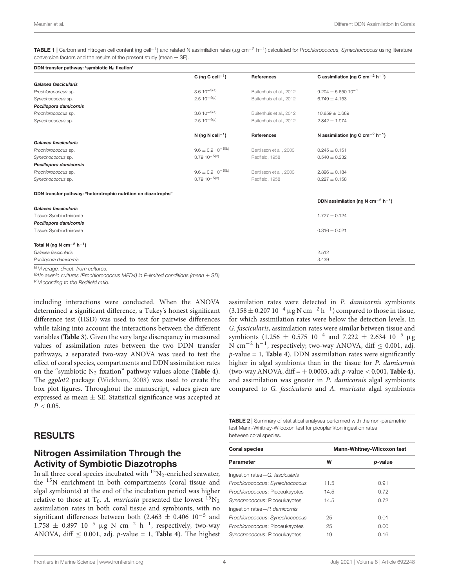TABLE 1 | Carbon and nitrogen cell content (ng cell<sup>-1</sup>) and related N assimilation rates (µg cm<sup>-2</sup> h<sup>-1</sup>) calculated for Prochlorococcus, Synechococcus using literature conversion factors and the results of the present study (mean  $\pm$  SE).

| DDN transfer pathway: 'symbiotic N <sub>2</sub> fixation'      |                              |                         |                                                           |
|----------------------------------------------------------------|------------------------------|-------------------------|-----------------------------------------------------------|
|                                                                | C (ng C cell <sup>-1</sup> ) | <b>References</b>       | C assimilation (ng C cm <sup>-2</sup> h <sup>-1</sup> )   |
| Galaxea fascicularis                                           |                              |                         |                                                           |
| Prochlorococcus sp.                                            | $3.6 10^{-5(a)}$             | Buitenhuis et al., 2012 | $9.204 \pm 5.650$ 10 <sup>-1</sup>                        |
| Synechococcus sp.                                              | $2.510^{-4(a)}$              | Buitenhuis et al., 2012 | $6.749 \pm 4.153$                                         |
| Pocillopora damicornis                                         |                              |                         |                                                           |
| Prochlorococcus sp.                                            | $3.610^{-5(a)}$              | Buitenhuis et al., 2012 | $10.859 \pm 0.689$                                        |
| Synechococcus sp.                                              | $2.510^{-4(a)}$              | Buitenhuis et al., 2012 | $2.842 \pm 1.974$                                         |
|                                                                | N (ng N cell <sup>-1</sup> ) | <b>References</b>       | N assimilation (ng C cm <sup>-2</sup> h <sup>-1</sup> )   |
| Galaxea fascicularis                                           |                              |                         |                                                           |
| Prochlorococcus sp.                                            | $9.6 \pm 0.910^{-6(b)}$      | Bertilsson et al., 2003 | $0.245 \pm 0.151$                                         |
| Synechococcus sp.                                              | $3.7910^{-5(c)}$             | Redfield, 1958          | $0.540 \pm 0.332$                                         |
| Pocillopora damicornis                                         |                              |                         |                                                           |
| Prochlorococcus sp.                                            | $9.6 \pm 0.910^{-6(b)}$      | Bertilsson et al., 2003 | $2.896 \pm 0.184$                                         |
| Synechococcus sp.                                              | $3.7910^{-5(c)}$             | Redfield, 1958          | $0.227 \pm 0.158$                                         |
| DDN transfer pathway: "heterotrophic nutrition on diazotrophs" |                              |                         | DDN assimilation (ng N cm <sup>-2</sup> h <sup>-1</sup> ) |
| Galaxea fascicularis                                           |                              |                         |                                                           |
| Tissue: Symbiodiniaceae                                        |                              |                         | $1.727 \pm 0.124$                                         |
| Pocillopora damicornis                                         |                              |                         |                                                           |
| Tissue: Symbiodiniaceae                                        |                              |                         | $0.316 \pm 0.021$                                         |
| Total N (ng N cm <sup>-2</sup> h <sup>-1</sup> )               |                              |                         |                                                           |
| Galaxea fascicularis                                           |                              |                         | 2.512                                                     |
| Pocillopora damicornis                                         |                              |                         | 3.439                                                     |

(a)Average, direct, from cultures.

 $^{(b)}$ In axenic cultures (Prochlorococcus MED4) in P-limited conditions (mean  $\pm$  SD).

(c)According to the Redfield ratio.

including interactions were conducted. When the ANOVA determined a significant difference, a Tukey's honest significant difference test (HSD) was used to test for pairwise differences while taking into account the interactions between the different variables (**Table 3**). Given the very large discrepancy in measured values of assimilation rates between the two DDN transfer pathways, a separated two-way ANOVA was used to test the effect of coral species, compartments and DDN assimilation rates on the "symbiotic N<sup>2</sup> fixation" pathway values alone (**Table 4**). The ggplot2 package (Wickham, 2008) was used to create the box plot figures. Throughout the manuscript, values given are expressed as mean  $\pm$  SE. Statistical significance was accepted at  $P < 0.05$ .

#### RESULTS

#### Nitrogen Assimilation Through the Activity of Symbiotic Diazotrophs

In all three coral species incubated with  ${}^{15}N_2$ -enriched seawater, the <sup>15</sup>N enrichment in both compartments (coral tissue and algal symbionts) at the end of the incubation period was higher relative to those at  $T_0$ . A. muricata presented the lowest  $^{15}N_2$ assimilation rates in both coral tissue and symbionts, with no significant differences between both (2.463  $\pm$  0.406 10<sup>-5</sup> and 1.758 ± 0.897  $10^{-5}$  µg N cm<sup>-2</sup> h<sup>-1</sup>, respectively, two-way ANOVA, diff  $\leq 0.001$ , adj. *p*-value = 1, **Table 4**). The highest assimilation rates were detected in P. damicornis symbionts (3.158 ± 0.207  $10^{-4}$  µg N cm<sup>-2</sup> h<sup>-1</sup>) compared to those in tissue, for which assimilation rates were below the detection levels. In G. fascicularis, assimilation rates were similar between tissue and symbionts (1.256  $\pm$  0.575 10<sup>-4</sup> and 7.222  $\pm$  2.634 10<sup>-5</sup> µg  $\overline{N}$  cm<sup>-2</sup> h<sup>-1</sup>, respectively; two-way ANOVA, diff ≤ 0.001, adj.  $p$ -value = 1, **Table 4**). DDN assimilation rates were significantly higher in algal symbionts than in the tissue for P. damicornis (two-way ANOVA, diff = + 0.0003, adj. p-value < 0.001, **Table 4**), and assimilation was greater in P. damicornis algal symbionts compared to G. fascicularis and A. muricata algal symbionts

TABLE 2 | Summary of statistical analyses performed with the non-parametric test Mann-Whitney-Wilcoxon test for picoplankton ingestion rates between coral species.

| <b>Coral species</b>              | <b>Mann-Whitney-Wilcoxon test</b> |         |  |
|-----------------------------------|-----------------------------------|---------|--|
| Parameter                         | w                                 | p-value |  |
| Ingestion rates - G. fascicularis |                                   |         |  |
| Prochlorococcus: Synechococcus    | 11.5                              | 0.91    |  |
| Prochlorococcus: Picoeukayotes    | 14.5                              | 0.72    |  |
| Synechococcus: Picoeukayotes      | 14.5                              | 0.72    |  |
| Ingestion rates-P. damicornis     |                                   |         |  |
| Prochlorococcus: Synechococcus    | 25                                | 0.01    |  |
| Prochlorococcus: Picoeukayotes    | 25                                | 0.00    |  |
| Synechococcus: Picoeukayotes      | 19                                | 0.16    |  |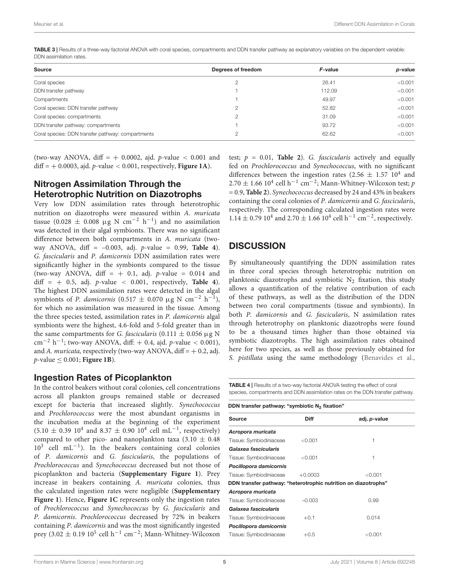| <b>Source</b>                                     | Degrees of freedom | F-value | p-value |  |
|---------------------------------------------------|--------------------|---------|---------|--|
| Coral species                                     | 2                  | 26.41   | < 0.001 |  |
| DDN transfer pathway                              |                    | 112.09  | < 0.001 |  |
| Compartments                                      |                    | 49.97   | < 0.001 |  |
| Coral species: DDN transfer pathway               | 2                  | 52.82   | < 0.001 |  |
| Coral species: compartments                       | 2                  | 31.09   | < 0.001 |  |
| DDN transfer pathway: compartments                |                    | 93.72   | < 0.001 |  |
| Coral species: DDN transfer pathway: compartments | 2                  | 62.62   | < 0.001 |  |
|                                                   |                    |         |         |  |

TABLE 3 | Results of a three-way factorial ANOVA with coral species, compartments and DDN transfer pathway as explanatory variables on the dependent variable: DDN assimilation rates.

(two-way ANOVA, diff =  $+$  0.0002, ajd. p-value < 0.001 and  $diff = +0.0003$ , ajd. *p*-value < 0.001, respectively, **Figure 1A**).

#### Nitrogen Assimilation Through the Heterotrophic Nutrition on Diazotrophs

Very low DDN assimilation rates through heterotrophic nutrition on diazotrophs were measured within A. muricata tissue (0.028  $\pm$  0.008 µg N cm<sup>-2</sup> h<sup>-1</sup>) and no assimilation was detected in their algal symbionts. There was no significant difference between both compartments in A. muricata (twoway ANOVA, diff = –0.003, adj. p-value = 0.99, **Table 4**). G. fascicularis and P. damicornis DDN assimilation rates were significantly higher in the symbionts compared to the tissue (two-way ANOVA, diff  $= +0.1$ , adj. p-value  $= 0.014$  and diff = + 0.5, adj. p-value < 0.001, respectively, **Table 4**). The highest DDN assimilation rates were detected in the algal symbionts of *P. damicornis* (0.517  $\pm$  0.070 µg N cm<sup>-2</sup> h<sup>-1</sup>), for which no assimilation was measured in the tissue. Among the three species tested, assimilation rates in P. damicornis algal symbionts were the highest, 4.6-fold and 5-fold greater than in the same compartments for G. fascicularis (0.111  $\pm$  0.056 µg N  $\text{cm}^{-2}$  h<sup>-1</sup>; two-way ANOVA, diff: + 0.4, ajd. p-value < 0.001), and A. muricata, respectively (two-way ANOVA, diff  $= +0.2$ , adj.  $p$ -value  $\leq 0.001$ ; **Figure 1B**).

#### Ingestion Rates of Picoplankton

In the control beakers without coral colonies, cell concentrations across all plankton groups remained stable or decreased except for bacteria that increased slightly. Synechococcus and Prochlorococcus were the most abundant organisms in the incubation media at the beginning of the experiment  $(5.10 \pm 0.39 \, 10^4 \text{ and } 8.37 \pm 0.90 \, 10^4 \text{ cell } \text{mL}^{-1}$ , respectively) compared to other pico- and nanoplankton taxa  $(3.10 \pm 0.48)$ 10<sup>3</sup> cell mL−<sup>1</sup> ). In the beakers containing coral colonies of P. damicornis and G. fascicularis, the populations of Prochlorococcus and Synechococcus decreased but not those of picoplankton and bacteria (**Supplementary Figure 1**). Prey increase in beakers containing A. muricata colonies, thus the calculated ingestion rates were negligible (**Supplementary Figure 1**). Hence, **Figure 1C** represents only the ingestion rates of Prochlorococcus and Synechococcus by G. fascicularis and P. damicornis. Prochlorococcus decreased by 72% in beakers containing P. damicornis and was the most significantly ingested prey (3.02  $\pm$  0.19 10<sup>5</sup> cell h<sup>-1</sup> cm<sup>-2</sup>; Mann-Whitney-Wilcoxon

test;  $p = 0.01$ , **Table 2**). *G. fascicularis* actively and equally fed on Prochlorococcus and Synechococcus, with no significant differences between the ingestion rates (2.56  $\pm$  1.57 10<sup>4</sup> and 2.70 ± 1.66 10<sup>4</sup> cell h<sup>-1</sup> cm<sup>-2</sup>; Mann-Whitney-Wilcoxon test; *p* = 0.9, **Table 2**). Synechococcus decreased by 24 and 43% in beakers containing the coral colonies of P. damicornis and G. fascicularis, respectively. The corresponding calculated ingestion rates were 1.14 ± 0.79 10<sup>4</sup> and 2.70 ± 1.66 10<sup>4</sup> cell h<sup>-1</sup> cm<sup>-2</sup>, respectively.

#### **DISCUSSION**

By simultaneously quantifying the DDN assimilation rates in three coral species through heterotrophic nutrition on planktonic diazotrophs and symbiotic  $N_2$  fixation, this study allows a quantification of the relative contribution of each of these pathways, as well as the distribution of the DDN between two coral compartments (tissue and symbionts). In both P. damicornis and G. fascicularis, N assimilation rates through heterotrophy on planktonic diazotrophs were found to be a thousand times higher than those obtained via symbiotic diazotrophs. The high assimilation rates obtained here for two species, as well as those previously obtained for S. pistillata using the same methodology (Benavides et al.,

TABLE 4 | Results of a two-way factorial ANOVA testing the effect of coral species, compartments and DDN assimilation rates on the DDN transfer pathway.

| DDN transfer pathway: "symbiotic N <sub>2</sub> fixation"      |             |              |  |  |
|----------------------------------------------------------------|-------------|--------------|--|--|
| Source                                                         | <b>Diff</b> | adj. p-value |  |  |
| Acropora muricata                                              |             |              |  |  |
| Tissue: Symbiodiniaceae                                        | < 0.001     | 1            |  |  |
| Galaxea fascicularis                                           |             |              |  |  |
| Tissue: Symbiodiniaceae                                        | < 0.001     | 1            |  |  |
| Pocillopora damicornis                                         |             |              |  |  |
| Tissue: Symbiodiniaceae                                        | $+0.0003$   | < 0.001      |  |  |
| DDN transfer pathway: "heterotrophic nutrition on diazotrophs" |             |              |  |  |
| Acropora muricata                                              |             |              |  |  |
| Tissue: Symbiodiniaceae                                        | $-0.003$    | 0.99         |  |  |
| Galaxea fascicularis                                           |             |              |  |  |
| Tissue: Symbiodiniaceae                                        | $+0.1$      | 0.014        |  |  |
| Pocillopora damicornis                                         |             |              |  |  |
| Tissue: Symbiodiniaceae                                        | $+0.5$      | < 0.001      |  |  |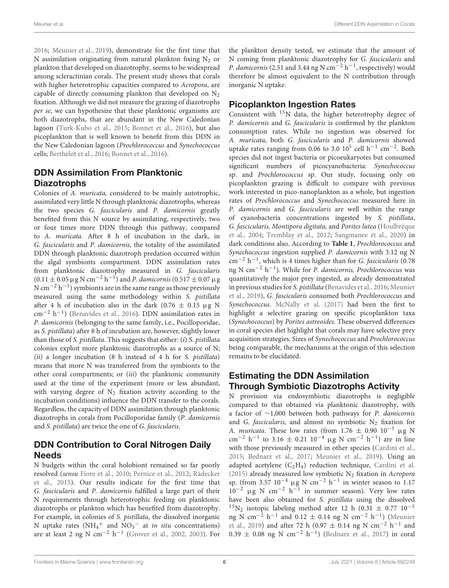2016; Meunier et al., 2019), demonstrate for the first time that N assimilation originating from natural plankton fixing  $N_2$  or plankton that developed on diazotrophy, seems to be widespread among scleractinian corals. The present study shows that corals with higher heterotrophic capacities compared to Acropora, are capable of directly consuming plankton that developed on  $N_2$ fixation. Although we did not measure the grazing of diazotrophs per se, we can hypothesize that these planktonic organisms are both diazotrophs, that are abundant in the New Caledonian lagoon (Turk-Kubo et al., 2015; Bonnet et al., 2016), but also picoplankton that is well known to benefit from this DDN in the New Caledonian lagoon (Prochlorococcus and Synechococcus cells; Berthelot et al., 2016; Bonnet et al., 2016).

#### DDN Assimilation From Planktonic **Diazotrophs**

Colonies of A. muricata, considered to be mainly autotrophic, assimilated very little N through planktonic diazotrophs, whereas the two species G. fascicularis and P. damicornis greatly benefited from this N source by assimilating, respectively, two or four times more DDN through this pathway, compared to A. muricata. After 8 h of incubation in the dark, in G. fascicularis and P. damicornis, the totality of the assimilated DDN through planktonic diazotroph predation occurred within the algal symbionts compartment. DDN assimilation rates from planktonic diazotrophy measured in G. fascicularis  $(0.11 \pm 0.05 \,\mu$ g N cm<sup>-2</sup> h<sup>-1</sup>) and *P. damicornis* (0.517 ± 0.07 μg N cm<sup>-2</sup> h<sup>-1</sup>) symbionts are in the same range as those previously measured using the same methodology within S. pistillata after 4 h of incubation also in the dark  $(0.76 \pm 0.15 \mu g N)$ cm−<sup>2</sup> h −1 ) (Benavides et al., 2016). DDN assimilation rates in P. damicornis (belonging to the same family, i.e., Pocilloporidae, as S. pistillata) after 8 h of incubation are, however, slightly lower than those of S. pistillata. This suggests that either:  $(i)$  S. pistillata colonies exploit more planktonic diazotrophs as a source of N; (ii) a longer incubation (8 h instead of 4 h for S. pistillata) means that more N was transferred from the symbionts to the other coral compartments; or (iii) the planktonic community used at the time of the experiment (more or less abundant, with varying degree of  $N_2$  fixation activity according to the incubation conditions) influence the DDN transfer to the corals. Regardless, the capacity of DDN assimilation through planktonic diazotrophs in corals from Pocilloporidae family (P. damicornis and S. pistillata) are twice the one of G. fascicularis.

#### DDN Contribution to Coral Nitrogen Daily Needs

N budgets within the coral holobiont remained so far poorly resolved (sensu Fiore et al., 2010; Pernice et al., 2012; Rädecker et al., 2015). Our results indicate for the first time that G. fascicularis and P. damicornis fulfilled a large part of their N requirements through heterotrophic feeding on planktonic diazotrophs or plankton which has benefited from diazotrophy. For example, in colonies of S. pistillata, the dissolved inorganic N uptake rates (NH<sub>4</sub><sup>+</sup> and NO<sub>3</sub><sup>-</sup> at *in situ* concentrations) are at least 2 ng N cm<sup>-2</sup> h<sup>-1</sup> (Grover et al., 2002, 2003). For

the plankton density tested, we estimate that the amount of N coming from planktonic diazotrophy for G. fascicularis and P. damicornis (2.51 and 3.44 ng N cm<sup>-2</sup> h<sup>-1</sup>, respectively) would therefore be almost equivalent to the N contribution through inorganic N uptake.

#### Picoplankton Ingestion Rates

Consistent with <sup>15</sup>N data, the higher heterotrophy degree of P. damicornis and G. fascicularis is confirmed by the plankton consumption rates. While no ingestion was observed for A. muricata, both G. fascicularis and P. damicornis showed uptake rates ranging from 0.06 to 3.0  $10^5$  cell h<sup>-1</sup> cm<sup>-2</sup>. Both species did not ingest bacteria or picoeukaryotes but consumed significant numbers of picocyanobacteria: Synechococcus sp. and Prochlorococcus sp. Our study, focusing only on picoplankton grazing is difficult to compare with previous work interested in pico-nanoplankton as a whole, but ingestion rates of Prochlorococcus and Synechococcus measured here in P. damicornis and G. fascicularis are well within the range of cyanobacteria concentrations ingested by S. pistillata, G. fascicularis, Montipora digitata, and Porites lutea (Houlbrèque et al., 2004; Tremblay et al., 2012; Sangmanee et al., 2020) in dark conditions also. According to **Table 1**, Prochlorococcus and Synechococcus ingestion supplied P. damicornis with 3.12 ng N  $\rm cm^{-2}$  h<sup>-1</sup>, which is 4 times higher than for *G. fascicularis* (0.78) ng N cm<sup>-2</sup> h<sup>-1</sup>). While for P. damicornis, Prochlorococcus was quantitatively the major prey ingested, as already demonstrated in previous studies for S. pistillata (Benavides et al., 2016; Meunier et al., 2019), G. fascicularis consumed both Prochlorococcus and Synechococcus. McNally et al. (2017) had been the first to highlight a selective grazing on specific picoplankton taxa (Synechococcus) by Porites astreoides. These observed differences in coral species diet highlight that corals may have selective prey acquisition strategies. Sizes of Synechococcus and Prochlorococcus being comparable, the mechanisms at the origin of this selection remains to be elucidated.

#### Estimating the DDN Assimilation Through Symbiotic Diazotrophs Activity

N provision via endosymbiotic diazotrophs is negligible compared to that obtained via planktonic diazotrophy, with a factor of ∼1,000 between both pathways for P. damicornis and G. fascicularis, and almost no symbiotic  $N_2$  fixation for A. muricata. These low rates (from 1.76  $\pm$  0.90 10<sup>-5</sup> µg N cm<sup>-2</sup> h<sup>-1</sup> to 3.16 ± 0.21 10<sup>-4</sup> µg N cm<sup>-2</sup> h<sup>-1</sup>) are in line with those previously measured in other species (Cardini et al., 2015; Bednarz et al., 2017; Meunier et al., 2019). Using an adapted acetylene  $(C_2H_4)$  reduction technique, Cardini et al. (2015) already measured low symbiotic  $N_2$  fixation in Acropora sp. (from 3.57  $10^{-4}$  µg N cm<sup>-2</sup> h<sup>-1</sup> in winter season to 1.17  $10^{-2}$  µg N cm<sup>-2</sup> h<sup>-1</sup> in summer season). Very low rates have been also obtained for S. pistillata using the dissolved  $15N_2$  isotopic labeling method after 12 h (0.31  $\pm$  0.77 10<sup>-5</sup> ng N cm<sup>-2</sup> h<sup>-1</sup> and  $0.12 \pm 0.14$  ng N cm<sup>-2</sup> h<sup>-1</sup>) (Meunier et al., 2019) and after 72 h (0.97  $\pm$  0.14 ng N cm<sup>-2</sup> h<sup>-1</sup> and 0.39 ± 0.08 ng N cm<sup>-2</sup> h<sup>-1</sup>) (Bednarz et al., 2017) in coral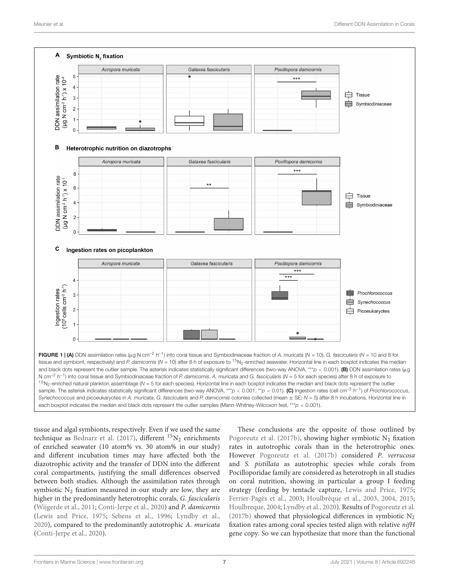

tissue and algal symbionts, respectively. Even if we used the same technique as Bednarz et al. (2017), different  $^{15}N_2$  enrichments of enriched seawater (10 atom% vs. 30 atom% in our study) and different incubation times may have affected both the diazotrophic activity and the transfer of DDN into the different coral compartments, justifying the small differences observed between both studies. Although the assimilation rates through symbiotic  $N_2$  fixation measured in our study are low, they are higher in the predominantly heterotrophic corals, G. fascicularis (Wijgerde et al., 2011; Conti-Jerpe et al., 2020) and P. damicornis (Lewis and Price, 1975; Sebens et al., 1996; Lyndby et al., 2020), compared to the predominantly autotrophic A. muricata (Conti-Jerpe et al., 2020).

These conclusions are the opposite of those outlined by Pogoreutz et al. (2017b), showing higher symbiotic  $N_2$  fixation rates in autotrophic corals than in the heterotrophic ones. However Pogoreutz et al. (2017b) considered P. verrucosa and S. pistillata as autotrophic species while corals from Pocilloporidae family are considered as heterotroph in all studies on coral nutrition, showing in particular a group I feeding strategy (feeding by tentacle capture, Lewis and Price, 1975; Ferrier-Pagès et al., 2003; Houlbrèque et al., 2003, 2004, 2015; Houlbreque, 2004; Lyndby et al., 2020). Results of Pogoreutz et al. (2017b) showed that physiological differences in symbiotic  $N_2$ fixation rates among coral species tested align with relative nifH gene copy. So we can hypothesize that more than the functional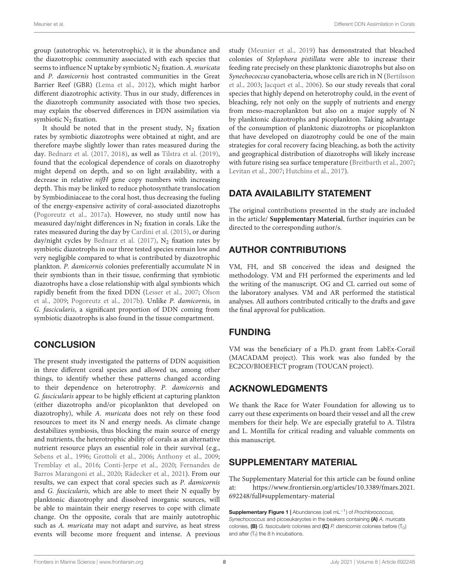group (autotrophic vs. heterotrophic), it is the abundance and the diazotrophic community associated with each species that seems to influence N uptake by symbiotic N<sub>2</sub> fixation. A. muricata and P. damicornis host contrasted communities in the Great Barrier Reef (GBR) (Lema et al., 2012), which might harbor different diazotrophic activity. Thus in our study, differences in the diazotroph community associated with those two species, may explain the observed differences in DDN assimilation via symbiotic  $N_2$  fixation.

It should be noted that in the present study,  $N_2$  fixation rates by symbiotic diazotrophs were obtained at night, and are therefore maybe slightly lower than rates measured during the day. Bednarz et al. (2017, 2018), as well as Tilstra et al. (2019), found that the ecological dependence of corals on diazotrophy might depend on depth, and so on light availability, with a decrease in relative nifH gene copy numbers with increasing depth. This may be linked to reduce photosynthate translocation by Symbiodiniaceae to the coral host, thus decreasing the fueling of the energy-expensive activity of coral-associated diazotrophs (Pogoreutz et al., 2017a). However, no study until now has measured day/night differences in  $N_2$  fixation in corals. Like the rates measured during the day by Cardini et al. (2015), or during day/night cycles by Bednarz et al. (2017),  $N_2$  fixation rates by symbiotic diazotrophs in our three tested species remain low and very negligible compared to what is contributed by diazotrophic plankton. P. damicornis colonies preferentially accumulate N in their symbionts than in their tissue, confirming that symbiotic diazotrophs have a close relationship with algal symbionts which rapidly benefit from the fixed DDN (Lesser et al., 2007; Olson et al., 2009; Pogoreutz et al., 2017b). Unlike P. damicornis, in G. fascicularis, a significant proportion of DDN coming from symbiotic diazotrophs is also found in the tissue compartment.

#### **CONCLUSION**

The present study investigated the patterns of DDN acquisition in three different coral species and allowed us, among other things, to identify whether these patterns changed according to their dependence on heterotrophy. P. damicornis and G. fascicularis appear to be highly efficient at capturing plankton (either diazotrophs and/or picoplankton that developed on diazotrophy), while A. muricata does not rely on these food resources to meet its N and energy needs. As climate change destabilizes symbiosis, thus blocking the main source of energy and nutrients, the heterotrophic ability of corals as an alternative nutrient resource plays an essential role in their survival (e.g., Sebens et al., 1996; Grottoli et al., 2006; Anthony et al., 2009; Tremblay et al., 2016; Conti-Jerpe et al., 2020; Fernandes de Barros Marangoni et al., 2020; Rädecker et al., 2021). From our results, we can expect that coral species such as P. damicornis and G. fascicularis, which are able to meet their N equally by planktonic diazotrophy and dissolved inorganic sources, will be able to maintain their energy reserves to cope with climate change. On the opposite, corals that are mainly autotrophic such as A. muricata may not adapt and survive, as heat stress events will become more frequent and intense. A previous study (Meunier et al., 2019) has demonstrated that bleached colonies of Stylophora pistillata were able to increase their feeding rate precisely on these planktonic diazotrophs but also on Synechococcus cyanobacteria, whose cells are rich in N (Bertilsson et al., 2003; Jacquet et al., 2006). So our study reveals that coral species that highly depend on heterotrophy could, in the event of bleaching, rely not only on the supply of nutrients and energy from meso-macroplankton but also on a major supply of N by planktonic diazotrophs and picoplankton. Taking advantage of the consumption of planktonic diazotrophs or picoplankton that have developed on diazotrophy could be one of the main strategies for coral recovery facing bleaching, as both the activity and geographical distribution of diazotrophs will likely increase with future rising sea surface temperature (Breitbarth et al., 2007; Levitan et al., 2007; Hutchins et al., 2017).

#### DATA AVAILABILITY STATEMENT

The original contributions presented in the study are included in the article/ **Supplementary Material**, further inquiries can be directed to the corresponding author/s.

#### AUTHOR CONTRIBUTIONS

VM, FH, and SB conceived the ideas and designed the methodology. VM and FH performed the experiments and led the writing of the manuscript. OG and CL carried out some of the laboratory analyses. VM and AR performed the statistical analyses. All authors contributed critically to the drafts and gave the final approval for publication.

#### FUNDING

VM was the beneficiary of a Ph.D. grant from LabEx-Corail (MACADAM project). This work was also funded by the EC2CO/BIOEFECT program (TOUCAN project).

## ACKNOWLEDGMENTS

We thank the Race for Water Foundation for allowing us to carry out these experiments on board their vessel and all the crew members for their help. We are especially grateful to A. Tilstra and L. Montilla for critical reading and valuable comments on this manuscript.

## SUPPLEMENTARY MATERIAL

The Supplementary Material for this article can be found online at: [https://www.frontiersin.org/articles/10.3389/fmars.2021.](https://www.frontiersin.org/articles/10.3389/fmars.2021.692248/full#supplementary-material) [692248/full#supplementary-material](https://www.frontiersin.org/articles/10.3389/fmars.2021.692248/full#supplementary-material)

Supplementary Figure 1 | Abundances (cell mL<sup>-1</sup>) of Prochlorococcus, Synechococcus and picoeukaryotes in the beakers containing (A) A. muricata colonies, (B) G. fascicularis colonies and (C) P. damicornis colonies before  $(T_0)$ and after  $(T_f)$  the 8 h incubations.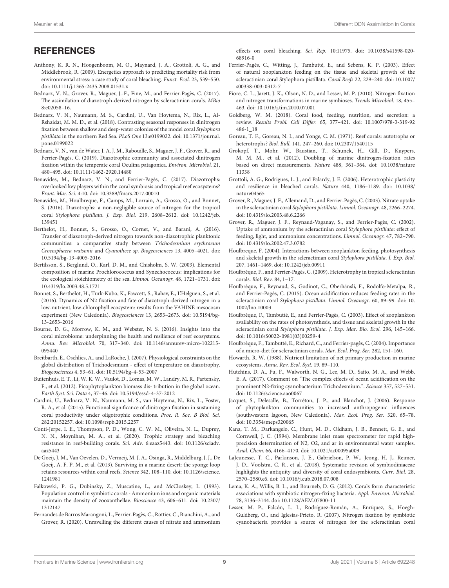#### **REFERENCES**

- Anthony, K. R. N., Hoogenboom, M. O., Maynard, J. A., Grottoli, A. G., and Middlebrook, R. (2009). Energetics approach to predicting mortality risk from environmental stress: a case study of coral bleaching. Funct. Ecol. 23, 539–550. [doi: 10.1111/j.1365-2435.2008.01531.x](https://doi.org/10.1111/j.1365-2435.2008.01531.x)
- Bednarz, V. N., Grover, R., Maguer, J.-F., Fine, M., and Ferrier-Pagès, C. (2017). The assimilation of diazotroph-derived nitrogen by scleractinian corals. MBio 8:e02058–16.
- Bednarz, V. N., Naumann, M. S., Cardini, U., Van Hoytema, N., Rix, L., Al-Rshaidat, M. M. D., et al. (2018). Contrasting seasonal responses in dinitrogen fixation between shallow and deep-water colonies of the model coral Stylophora pistillata in the northern Red Sea. PLoS One 13:e0199022. [doi: 10.1371/journal.](https://doi.org/10.1371/journal.pone.0199022) [pone.0199022](https://doi.org/10.1371/journal.pone.0199022)
- Bednarz, V. N., van de Water, J. A. J. M., Rabouille, S., Maguer, J. F., Grover, R., and Ferrier-Pagès, C. (2019). Diazotrophic community and associated dinitrogen fixation within the temperate coral Oculina patagonica. Environ. Microbiol. 21, 480–495. [doi: 10.1111/1462-2920.14480](https://doi.org/10.1111/1462-2920.14480)
- Benavides, M., Bednarz, V. N., and Ferrier-Pagès, C. (2017). Diazotrophs: overlooked key players within the coral symbiosis and tropical reef ecosystems? Front. Mar. Sci. 4:10. [doi: 10.3389/fmars.2017.00010](https://doi.org/10.3389/fmars.2017.00010)
- Benavides, M., Houlbreque, F., Camps, M., Lorrain, A., Grosso, O., and Bonnet, S. (2016). Diazotrophs: a non-negligible source of nitrogen for the tropical coral Stylophora pistillata. J. Exp. Biol. 219, 2608–2612. [doi: 10.1242/jeb.](https://doi.org/10.1242/jeb.139451) [139451](https://doi.org/10.1242/jeb.139451)
- Berthelot, H., Bonnet, S., Grosso, O., Cornet, V., and Barani, A. (2016). Transfer of diazotroph-derived nitrogen towards non-diazotrophic planktonic communities: a comparative study between Trichodesmium erythraeum Crocosphaera watsonii and Cyanothece sp. Biogeosciences 13, 4005–4021. [doi:](https://doi.org/10.5194/bg-13-4005-2016) [10.5194/bg-13-4005-2016](https://doi.org/10.5194/bg-13-4005-2016)
- Bertilsson, S., Berglund, O., Karl, D. M., and Chisholm, S. W. (2003). Elemental composition of marine Prochlorococcus and Synechococcus: implications for the ecological stoichiometry of the sea. Limnol. Oceanogr. 48, 1721–1731. [doi:](https://doi.org/10.4319/lo.2003.48.5.1721) [10.4319/lo.2003.48.5.1721](https://doi.org/10.4319/lo.2003.48.5.1721)
- Bonnet, S., Berthelot, H., Turk-Kubo, K., Fawcett, S., Rahav, E., L'Helguen, S., et al. (2016). Dynamics of N2 fixation and fate of diazotroph-derived nitrogen in a low-nutrient, low-chlorophyll ecosystem: results from the VAHINE mesocosm experiment (New Caledonia). Biogeosciences 13, 2653–2673. [doi: 10.5194/bg-](https://doi.org/10.5194/bg-13-2653-2016)[13-2653-2016](https://doi.org/10.5194/bg-13-2653-2016)
- Bourne, D. G., Morrow, K. M., and Webster, N. S. (2016). Insights into the coral microbiome: underpinning the health and resilience of reef ecosystems. Annu. Rev. Microbiol. 70, 317–340. [doi: 10.1146/annurev-micro-102215-](https://doi.org/10.1146/annurev-micro-102215-095440) [095440](https://doi.org/10.1146/annurev-micro-102215-095440)
- Breitbarth, E., Oschlies, A., and LaRoche, J. (2007). Physiological constraints on the global distribution of Trichodesmium - effect of temperature on diazotrophy. Biogeosciences 4, 53–61. [doi: 10.5194/bg-4-53-2007](https://doi.org/10.5194/bg-4-53-2007)
- Buitenhuis, E. T., Li, W. K. W., Vaulot, D., Lomas, M. W., Landry, M. R., Partensky, F., et al. (2012). Picophytoplankton biomass dis- tribution in the global ocean. Earth Syst. Sci. Data 4, 37–46. [doi: 10.5194/essd-4-37-2012](https://doi.org/10.5194/essd-4-37-2012)
- Cardini, U., Bednarz, V. N., Naumann, M. S., van Hoytema, N., Rix, L., Foster, R. A., et al. (2015). Functional significance of dinitrogen fixation in sustaining coral productivity under oligotrophic conditions. Proc. R. Soc. B Biol. Sci. 282:20152257. [doi: 10.1098/rspb.2015.2257](https://doi.org/10.1098/rspb.2015.2257)
- Conti-Jerpe, I. E., Thompson, P. D., Wong, C. W. M., Oliveira, N. L., Duprey, N. N., Moynihan, M. A., et al. (2020). Trophic strategy and bleaching resistance in reef-building corals. Sci. Adv. 6:eaaz5443. [doi: 10.1126/sciadv.](https://doi.org/10.1126/sciadv.aaz5443) [aaz5443](https://doi.org/10.1126/sciadv.aaz5443)
- De Goeij, J. M., Van Oevelen, D., Vermeij, M. J. A., Osinga, R., Middelburg, J. J., De Goeij, A. F. P. M., et al. (2013). Surviving in a marine desert: the sponge loop retains resources within coral reefs. Science 342, 108–110. [doi: 10.1126/science.](https://doi.org/10.1126/science.1241981) [1241981](https://doi.org/10.1126/science.1241981)
- Falkowski, P. G., Dubinsky, Z., Muscatine, L., and McCloskey, L. (1993). Population control in symbiotic corals - Ammonium ions and organic materials maintain the density of zooxanthellae. Bioscience 43, 606–611. [doi: 10.2307/](https://doi.org/10.2307/1312147) [1312147](https://doi.org/10.2307/1312147)
- Fernandes de Barros Marangoni, L., Ferrier-Pagès, C., Rottier, C., Bianchini, A., and Grover, R. (2020). Unravelling the different causes of nitrate and ammonium

effects on coral bleaching. Sci. Rep. 10:11975. [doi: 10.1038/s41598-020-](https://doi.org/10.1038/s41598-020-68916-0) [68916-0](https://doi.org/10.1038/s41598-020-68916-0)

- Ferrier-Pagès, C., Witting, J., Tambutté, E., and Sebens, K. P. (2003). Effect of natural zooplankton feeding on the tissue and skeletal growth of the scleractinian coral Stylophora pistillata. Coral Reefs 22, 229–240. [doi: 10.1007/](https://doi.org/10.1007/s00338-003-0312-7) [s00338-003-0312-7](https://doi.org/10.1007/s00338-003-0312-7)
- Fiore, C. L., Jarett, J. K., Olson, N. D., and Lesser, M. P. (2010). Nitrogen fixation and nitrogen transformations in marine symbioses. Trends Microbiol. 18, 455– 463. [doi: 10.1016/j.tim.2010.07.001](https://doi.org/10.1016/j.tim.2010.07.001)
- Goldberg, W. M. (2018). Coral food, feeding, nutrition, and secretion: a review. Results Probl. Cell Differ. 65, 377–421. [doi: 10.1007/978-3-319-92](https://doi.org/10.1007/978-3-319-92486-1_18) [486-1\\_18](https://doi.org/10.1007/978-3-319-92486-1_18)
- Goreau, T. F., Goreau, N. I., and Yonge, C. M. (1971). Reef corals: autotrophs or heterotrophs? Biol. Bull. 141, 247–260. [doi: 10.2307/1540115](https://doi.org/10.2307/1540115)
- Grokopf, T., Mohr, W., Baustian, T., Schunck, H., Gill, D., Kuypers, M. M. M., et al. (2012). Doubling of marine dinitrogen-fixation rates based on direct measurements. Nature 488, 361–364. [doi: 10.1038/nature](https://doi.org/10.1038/nature11338) [11338](https://doi.org/10.1038/nature11338)
- Grottoli, A. G., Rodrigues, L. J., and Palardy, J. E. (2006). Heterotrophic plasticity and resilience in bleached corals. Nature 440, 1186–1189. [doi: 10.1038/](https://doi.org/10.1038/nature04565) [nature04565](https://doi.org/10.1038/nature04565)
- Grover, R., Maguer, J. F., Allemand, D., and Ferrier-Pagès, C. (2003). Nitrate uptake in the scleractinian coral Stylophora pistillata. Limnol. Oceanogr. 48, 2266–2274. [doi: 10.4319/lo.2003.48.6.2266](https://doi.org/10.4319/lo.2003.48.6.2266)
- Grover, R., Maguer, J. F., Reynaud-Vaganay, S., and Ferrier-Pagès, C. (2002). Uptake of ammonium by the scleractinian coral Stylophora pistillata: effect of feeding, light, and ammonium concentrations. Limnol. Oceanogr. 47, 782–790. [doi: 10.4319/lo.2002.47.3.0782](https://doi.org/10.4319/lo.2002.47.3.0782)
- Houlbreque, F. (2004). Interactions between zooplankton feeding, photosynthesis and skeletal growth in the scleractinian coral Stylophora pistillata. J. Exp. Biol. 207, 1461–1469. [doi: 10.1242/jeb.00911](https://doi.org/10.1242/jeb.00911)
- Houlbrèque, F., and Ferrier-Pagès, C. (2009). Heterotrophy in tropical scleractinian corals. Biol. Rev. 84, 1–17.
- Houlbrèque, F., Reynaud, S., Godinot, C., Oberhänsli, F., Rodolfo-Metalpa, R., and Ferrier-Pagés, C. (2015). Ocean acidification reduces feeding rates in the scleractinian coral Stylophora pistillata. Limnol. Oceanogr. 60, 89–99. [doi: 10.](https://doi.org/10.1002/lno.10003) [1002/lno.10003](https://doi.org/10.1002/lno.10003)
- Houlbrèque, F., Tambutté, E., and Ferrier-Pagès, C. (2003). Effect of zooplankton availability on the rates of photosynthesis, and tissue and skeletal growth in the scleractinian coral Stylophora pistillata. J. Exp. Mar. Bio. Ecol. 296, 145–166. [doi: 10.1016/S0022-0981\(03\)00259-4](https://doi.org/10.1016/S0022-0981(03)00259-4)
- Houlbrèque, F., Tambutté, E., Richard, C., and Ferrier-pagès, C. (2004). Importance of a micro-diet for scleractinian corals. Mar. Ecol. Prog. Ser. 282, 151–160.
- Howarth, R. W. (1988). Nutrient limitation of net primary production in marine ecosystems. Annu. Rev. Ecol. Syst. 19, 89–110.
- Hutchins, D. A., Fu, F., Walworth, N. G., Lee, M. D., Saito, M. A., and Webb, E. A. (2017). Comment on "The complex effects of ocean acidification on the prominent N2-fixing cyanobacterium Trichodesmium.". Science 357, 527–531. [doi: 10.1126/science.aao0067](https://doi.org/10.1126/science.aao0067)
- Jacquet, S., Delesalle, B., Torréton, J. P., and Blanchot, J. (2006). Response of phytoplankton communities to increased anthropogenic influences (southwestern lagoon, New Caledonia). Mar. Ecol. Prog. Ser. 320, 65–78. [doi: 10.3354/meps320065](https://doi.org/10.3354/meps320065)
- Kana, T. M., Darkangelo, C., Hunt, M. D., Oldham, J. B., Bennett, G. E., and Cornwell, J. C. (1994). Membrane inlet mass spectrometer for rapid highprecision determination of N2, O2, and ar in environmental water samples. Anal. Chem. 66, 4166–4170. [doi: 10.1021/ac00095a009](https://doi.org/10.1021/ac00095a009)
- LaJeunesse, T. C., Parkinson, J. E., Gabrielson, P. W., Jeong, H. J., Reimer, J. D., Voolstra, C. R., et al. (2018). Systematic revision of symbiodiniaceae highlights the antiquity and diversity of coral endosymbionts. Curr. Biol. 28, 2570–2580.e6. [doi: 10.1016/j.cub.2018.07.008](https://doi.org/10.1016/j.cub.2018.07.008)
- Lema, K. A., Willis, B. L., and Bourneb, D. G. (2012). Corals form characteristic associations with symbiotic nitrogen-fixing bacteria. Appl. Environ. Microbiol. 78, 3136–3144. [doi: 10.1128/AEM.07800-11](https://doi.org/10.1128/AEM.07800-11)
- Lesser, M. P., Falcón, L. I., Rodríguez-Román, A., Enríquez, S., Hoegh-Guldberg, O., and Iglesias-Prieto, R. (2007). Nitrogen fixation by symbiotic cyanobacteria provides a source of nitrogen for the scleractinian coral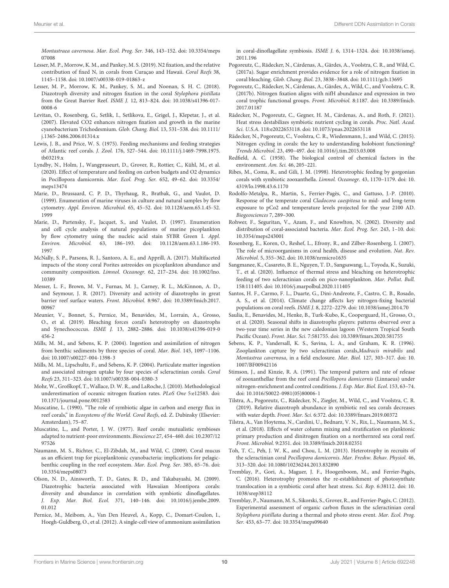Montastraea cavernosa. Mar. Ecol. Prog. Ser. 346, 143–152. [doi: 10.3354/meps](https://doi.org/10.3354/meps07008) [07008](https://doi.org/10.3354/meps07008)

- Lesser, M. P., Morrow, K. M., and Pankey, M. S. (2019). N2 fixation, and the relative contribution of fixed N, in corals from Curaçao and Hawaii. Coral Reefs 38, 1145–1158. [doi: 10.1007/s00338-019-01863-z](https://doi.org/10.1007/s00338-019-01863-z)
- Lesser, M. P., Morrow, K. M., Pankey, S. M., and Noonan, S. H. C. (2018). Diazotroph diversity and nitrogen fixation in the coral Stylophora pistillata from the Great Barrier Reef. ISME J. 12, 813–824. [doi: 10.1038/s41396-017-](https://doi.org/10.1038/s41396-017-0008-6) [0008-6](https://doi.org/10.1038/s41396-017-0008-6)
- Levitan, O., Rosenberg, G., Setlik, I., Setlikova, E., Grigel, J., Klepetar, J., et al. (2007). Elevated CO2 enhances nitrogen fixation and growth in the marine cyanobacterium Trichodesmium. Glob. Chang. Biol. 13, 531–538. [doi: 10.1111/](https://doi.org/10.1111/j.1365-2486.2006.01314.x) [j.1365-2486.2006.01314.x](https://doi.org/10.1111/j.1365-2486.2006.01314.x)
- Lewis, J. B., and Price, W. S. (1975). Feeding mechanisms and feeding strategies of Atlantic reef corals. J. Zool. 176, 527–544. [doi: 10.1111/j.1469-7998.1975.](https://doi.org/10.1111/j.1469-7998.1975.tb03219.x) [tb03219.x](https://doi.org/10.1111/j.1469-7998.1975.tb03219.x)
- Lyndby, N., Holm, J., Wangpraseurt, D., Grover, R., Rottier, C., Kühl, M., et al. (2020). Effect of temperature and feeding on carbon budgets and O2 dynamics in Pocillopora damicornis. Mar. Ecol. Prog. Ser. 652, 49–62. [doi: 10.3354/](https://doi.org/10.3354/meps13474) [meps13474](https://doi.org/10.3354/meps13474)
- Marie, D., Brussaard, C. P. D., Thyrhaug, R., Bratbak, G., and Vaulot, D. (1999). Enumeration of marine viruses in culture and natural samples by flow cytometry. Appl. Environ. Microbiol. 65, 45–52. [doi: 10.1128/aem.65.1.45-52.](https://doi.org/10.1128/aem.65.1.45-52.1999) [1999](https://doi.org/10.1128/aem.65.1.45-52.1999)
- Marie, D., Partensky, F., Jacquet, S., and Vaulot, D. (1997). Enumeration and cell cycle analysis of natural populations of marine picoplankton by flow cytometry using the nucleic acid stain SYBR Green I. Appl. Environ. Microbiol. 63, 186–193. [doi: 10.1128/aem.63.1.186-193.](https://doi.org/10.1128/aem.63.1.186-193.1997) [1997](https://doi.org/10.1128/aem.63.1.186-193.1997)
- McNally, S. P., Parsons, R. J., Santoro, A. E., and Apprill, A. (2017). Multifaceted impacts of the stony coral Porites astreoides on picoplankton abundance and community composition. Limnol. Oceanogr. 62, 217–234. [doi: 10.1002/lno.](https://doi.org/10.1002/lno.10389) [10389](https://doi.org/10.1002/lno.10389)
- Messer, L. F., Brown, M. V., Furnas, M. J., Carney, R. L., McKinnon, A. D., and Seymour, J. R. (2017). Diversity and activity of diazotrophs in great barrier reef surface waters. Front. Microbiol. 8:967. [doi: 10.3389/fmicb.2017.](https://doi.org/10.3389/fmicb.2017.00967) [00967](https://doi.org/10.3389/fmicb.2017.00967)
- Meunier, V., Bonnet, S., Pernice, M., Benavides, M., Lorrain, A., Grosso, O., et al. (2019). Bleaching forces coral's heterotrophy on diazotrophs and Synechococcus. ISME J. 13, 2882–2886. [doi: 10.1038/s41396-019-0](https://doi.org/10.1038/s41396-019-0456-2) [456-2](https://doi.org/10.1038/s41396-019-0456-2)
- Mills, M. M., and Sebens, K. P. (2004). Ingestion and assimilation of nitrogen from benthic sediments by three species of coral. Mar. Biol. 145, 1097–1106. [doi: 10.1007/s00227-004-1398-3](https://doi.org/10.1007/s00227-004-1398-3)
- Mills, M. M., Lipschultz, F., and Sebens, K. P. (2004). Particulate matter ingestion and associated nitrogen uptake by four species of scleractinian corals. Coral Reefs 23, 311–323. [doi: 10.1007/s00338-004-0380-3](https://doi.org/10.1007/s00338-004-0380-3)
- Mohr, W., Großkopf, T., Wallace, D. W. R., and LaRoche, J. (2010). Methodological underestimation of oceanic nitrogen fixation rates. PLoS One 5:e12583. [doi:](https://doi.org/10.1371/journal.pone.0012583) [10.1371/journal.pone.0012583](https://doi.org/10.1371/journal.pone.0012583)
- Muscatine, L. (1990). "The role of symbiotic algae in carbon and energy flux in reef corals," in Ecosystems of the World. Coral Reefs, ed. Z. Dubinsky (Elsevier: Amsterdam), 75–87.
- Muscatine, L., and Porter, J. W. (1977). Reef corals: mutualistic symbioses adapted to nutrient-poor environments. Bioscience 27, 454–460. [doi: 10.2307/12](https://doi.org/10.2307/1297526) [97526](https://doi.org/10.2307/1297526)
- Naumann, M. S., Richter, C., El-Zibdah, M., and Wild, C. (2009). Coral mucus as an efficient trap for picoplanktonic cyanobacteria: implications for pelagicbenthic coupling in the reef ecosystem. Mar. Ecol. Prog. Ser. 385, 65–76. [doi:](https://doi.org/10.3354/meps08073) [10.3354/meps08073](https://doi.org/10.3354/meps08073)
- Olson, N. D., Ainsworth, T. D., Gates, R. D., and Takabayashi, M. (2009). Diazotrophic bacteria associated with Hawaiian Montipora corals: diversity and abundance in correlation with symbiotic dinoflagellates. J. Exp. Mar. Biol. Ecol. 371, 140–146. [doi: 10.1016/j.jembe.2009.](https://doi.org/10.1016/j.jembe.2009.01.012) [01.012](https://doi.org/10.1016/j.jembe.2009.01.012)
- Pernice, M., Meibom, A., Van Den Heuvel, A., Kopp, C., Domart-Coulon, I., Hoegh-Guldberg, O., et al. (2012). A single-cell view of ammonium assimilation

in coral-dinoflagellate symbiosis. ISME J. 6, 1314–1324. [doi: 10.1038/ismej.](https://doi.org/10.1038/ismej.2011.196) [2011.196](https://doi.org/10.1038/ismej.2011.196)

- Pogoreutz, C., Rädecker, N., Cárdenas, A., Gärdes, A., Voolstra, C. R., and Wild, C. (2017a). Sugar enrichment provides evidence for a role of nitrogen fixation in coral bleaching. Glob. Chang. Biol. 23, 3838–3848. [doi: 10.1111/gcb.13695](https://doi.org/10.1111/gcb.13695)
- Pogoreutz, C., Rädecker, N., Cárdenas, A., Gärdes, A., Wild, C., and Voolstra, C. R. (2017b). Nitrogen fixation aligns with nifH abundance and expression in two coral trophic functional groups. Front. Microbiol. 8:1187. [doi: 10.3389/fmicb.](https://doi.org/10.3389/fmicb.2017.01187) [2017.01187](https://doi.org/10.3389/fmicb.2017.01187)
- Rädecker, N., Pogoreutz, C., Gegner, H. M., Cárdenas, A., and Roth, F. (2021). Heat stress destabilizes symbiotic nutrient cycling in corals. Proc. Natl. Acad. Sci. U.S.A. 118:e2022653118. [doi: 10.1073/pnas.2022653118](https://doi.org/10.1073/pnas.2022653118)
- Rädecker, N., Pogoreutz, C., Voolstra, C. R., Wiedenmann, J., and Wild, C. (2015). Nitrogen cycling in corals: the key to understanding holobiont functioning? Trends Microbiol. 23, 490–497. [doi: 10.1016/j.tim.2015.03.008](https://doi.org/10.1016/j.tim.2015.03.008)
- Redfield, A. C. (1958). The biological control of chemical factors in the environment. Am. Sci. 46, 205–221.
- Ribes, M., Coma, R., and Gili, J. M. (1998). Heterotrophic feeding by gorgonian corals with symbiotic zooxanthella. Limnol. Oceanogr. 43, 1170–1179. [doi: 10.](https://doi.org/10.4319/lo.1998.43.6.1170) [4319/lo.1998.43.6.1170](https://doi.org/10.4319/lo.1998.43.6.1170)
- Rodolfo-Metalpa, R., Martin, S., Ferrier-Pagès, C., and Gattuso, J.-P. (2010). Response of the temperate coral Cladocora caespitosa to mid- and long-term exposure to pCo2 and temperature levels projected for the year 2100 AD. Biogeosciences 7, 289–300.
- Rohwer, F., Seguritan, V., Azam, F., and Knowlton, N. (2002). Diversity and distribution of coral-associated bacteria. Mar. Ecol. Prog. Ser. 243, 1–10. [doi:](https://doi.org/10.3354/meps243001) [10.3354/meps243001](https://doi.org/10.3354/meps243001)
- Rosenberg, E., Koren, O., Reshef, L., Efrony, R., and Zilber-Rosenberg, I. (2007). The role of microorganisms in coral health, disease and evolution. Nat. Rev. Microbiol. 5, 355–362. [doi: 10.1038/nrmicro1635](https://doi.org/10.1038/nrmicro1635)
- Sangmanee, K., Casareto, B. E., Nguyen, T. D., Sangsawang, L., Toyoda, K., Suzuki, T., et al. (2020). Influence of thermal stress and bleaching on heterotrophic feeding of two scleractinian corals on pico-nanoplankton. Mar. Pollut. Bull. 158:111405. [doi: 10.1016/j.marpolbul.2020.111405](https://doi.org/10.1016/j.marpolbul.2020.111405)
- Santos, H. F., Carmo, F. L., Duarte, G., Dini-Andreote, F., Castro, C. B., Rosado, A. S., et al. (2014). Climate change affects key nitrogen-fixing bacterial populations on coral reefs. ISME J. 8, 2272–2279. [doi: 10.1038/ismej.2014.70](https://doi.org/10.1038/ismej.2014.70)
- Saulia, E., Benavides, M., Henke, B., Turk-Kubo, K., Cooperguard, H., Grosso, O., et al. (2020). Seasonal shifts in diazotrophs players: patterns observed over a two-year time series in the new caledonian lagoon (Western Tropical South Pacific Ocean). Front. Mar. Sci. 7:581755. [doi: 10.3389/fmars.2020.581755](https://doi.org/10.3389/fmars.2020.581755)
- Sebens, K. P., Vandersall, K. S., Savina, L. A., and Graham, K. R. (1996). Zooplankton capture by two scleractinian corals,Madracis mirabilis and Montastrea cavernosa, in a field enclosure. Mar. Biol. 127, 303–317. [doi: 10.](https://doi.org/10.1007/BF00942116) [1007/BF00942116](https://doi.org/10.1007/BF00942116)
- Stimson, J., and Kinzie, R. A. (1991). The temporal pattern and rate of release of zooxanthellae from the reef coral Pocillopora damicornis (Linnaeus) under nitrogen-enrichment and control conditions. J. Exp. Mar. Biol. Ecol. 153, 63–74. [doi: 10.1016/S0022-0981\(05\)80006-1](https://doi.org/10.1016/S0022-0981(05)80006-1)
- Tilstra, A., Pogoreutz, C., Rädecker, N., Ziegler, M., Wild, C., and Voolstra, C. R. (2019). Relative diazotroph abundance in symbiotic red sea corals decreases with water depth. Front. Mar. Sci. 6:372. [doi: 10.3389/fmars.2019.00372](https://doi.org/10.3389/fmars.2019.00372)
- Tilstra, A., Van Hoytema, N., Cardini, U., Bednarz, V. N., Rix, L., Naumann, M. S., et al. (2018). Effects of water column mixing and stratification on planktonic primary production and dinitrogen fixation on a northernred sea coral reef. Front. Microbiol. 9:2351. [doi: 10.3389/fmicb.2018.02351](https://doi.org/10.3389/fmicb.2018.02351)
- Toh, T. C., Peh, J. W. K., and Chou, L. M. (2013). Heterotrophy in recruits of the scleractinian coral Pocillopora damicornis. Mar. Freshw. Behav. Physiol. 46, 313–320. [doi: 10.1080/10236244.2013.832890](https://doi.org/10.1080/10236244.2013.832890)
- Tremblay, P., Gori, A., Maguer, J. F., Hoogenboom, M., and Ferrier-Pagès, C. (2016). Heterotrophy promotes the re-establishment of photosynthate translocation in a symbiotic coral after heat stress. Sci. Rep. 6:38112. [doi: 10.](https://doi.org/10.1038/srep38112) [1038/srep38112](https://doi.org/10.1038/srep38112)
- Tremblay, P., Naumann, M. S., Sikorski, S., Grover, R., and Ferrier-Pagès, C. (2012). Experimental assessment of organic carbon fluxes in the scleractinian coral Stylophora pistillata during a thermal and photo stress event. Mar. Ecol. Prog. Ser. 453, 63–77. [doi: 10.3354/meps09640](https://doi.org/10.3354/meps09640)